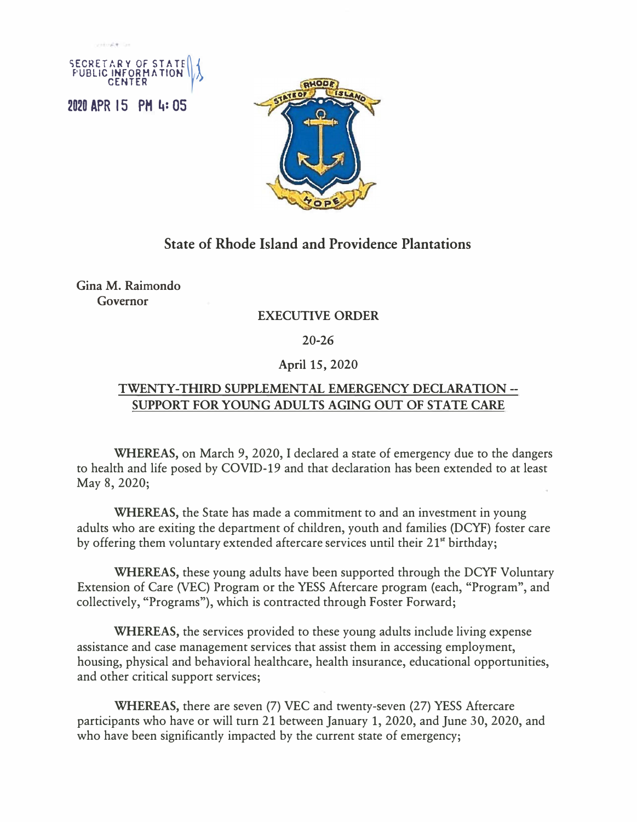



## **State of Rhode Island and Providence Plantations**

Gina M. Raimondo **Governor** 

## **EXECUTIVE ORDER**

20-26

## **April** 15, 2020

## **TWENTY-THIRD SUPPLEMENTAL EMERGENCY DECLARATION - SUPPORT FOR YOUNG ADULTS AGING OUT OF STATE CARE**

**WHEREAS,** on March 9, 2020, I declared a state of emergency due to the dangers to health and life posed by COVID-19 and that declaration has been extended to at least May 8, 2020;

**WHEREAS,** the State has made a commitment to and an investment in young adults who are exiting the department of children, youth and families (DCYF) foster care by offering them voluntary extended aftercare services until their 21**st** birthday;

**WHEREAS,** these young adults have been supported through the DCYF Voluntary Extension of Care (VEC) Program or the YESS Aftercare program (each, "Program", and collectively, "Programs"), which is contracted through Foster Forward;

**WHEREAS,** the services provided to these young adults include living expense assistance and case management services that assist them in accessing employment, housing, physical and behavioral healthcare, health insurance, educational opportunities, and other critical support services;

**WHEREAS,** there are seven (7) VEC and twenty-seven (27) YESS Aftercare participants who have or will turn 21 between January 1, 2020, and June 30, 2020, and who have been significantly impacted by the current state of emergency;